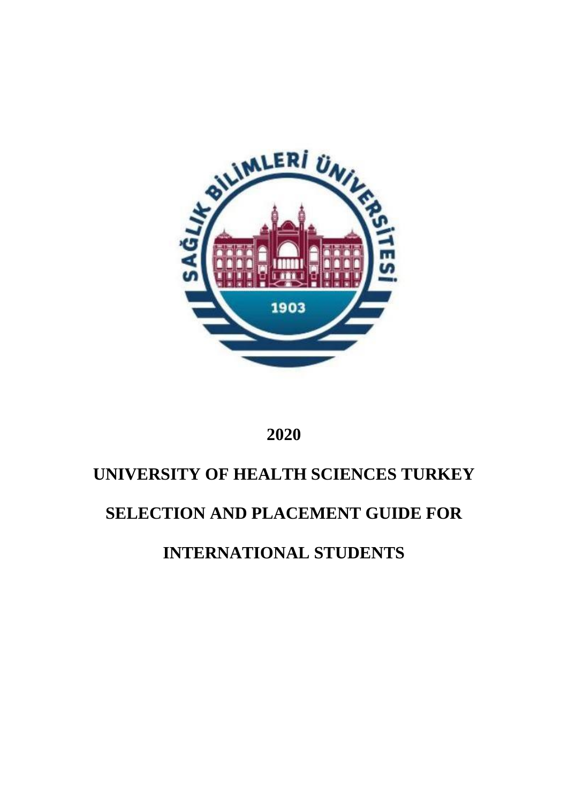

# **2020**

# **UNIVERSITY OF HEALTH SCIENCES TURKEY**

# **SELECTION AND PLACEMENT GUIDE FOR**

**INTERNATIONAL STUDENTS**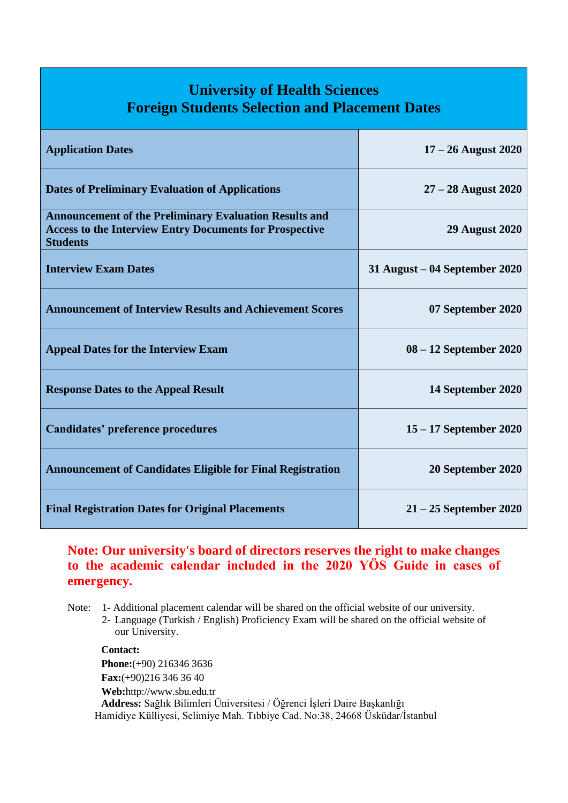# **University of Health Sciences Foreign Students Selection and Placement Dates**

| <b>Application Dates</b>                                                                                                                           | $17 - 26$ August 2020           |
|----------------------------------------------------------------------------------------------------------------------------------------------------|---------------------------------|
| <b>Dates of Preliminary Evaluation of Applications</b>                                                                                             | $27 - 28$ August 2020           |
| <b>Announcement of the Preliminary Evaluation Results and</b><br><b>Access to the Interview Entry Documents for Prospective</b><br><b>Students</b> | <b>29 August 2020</b>           |
| <b>Interview Exam Dates</b>                                                                                                                        | $31$ August – 04 September 2020 |
| <b>Announcement of Interview Results and Achievement Scores</b>                                                                                    | 07 September 2020               |
| <b>Appeal Dates for the Interview Exam</b>                                                                                                         | $08 - 12$ September 2020        |
| <b>Response Dates to the Appeal Result</b>                                                                                                         | 14 September 2020               |
| <b>Candidates' preference procedures</b>                                                                                                           | $15 - 17$ September 2020        |
| <b>Announcement of Candidates Eligible for Final Registration</b>                                                                                  | 20 September 2020               |
| <b>Final Registration Dates for Original Placements</b>                                                                                            | $21 - 25$ September 2020        |

### **Note: Our university's board of directors reserves the right to make changes to the academic calendar included in the 2020 YÖS Guide in cases of emergency.**

Note: 1- Additional placement calendar will be shared on the official website of our university.

2- Language (Turkish / English) Proficiency Exam will be shared on the official website of our University.

**Contact: Phone:**(+90) 216346 3636 **Fax:**(+90)216 346 36 40 **Web:**[http://www.sbu.edu.tr](http://www.sbu.edu.tr/) **Address:** Sağlık Bilimleri Üniversitesi / Öğrenci İşleri Daire Başkanlığı Hamidiye Külliyesi, Selimiye Mah. Tıbbiye Cad. No:38, 24668 Üsküdar/İstanbul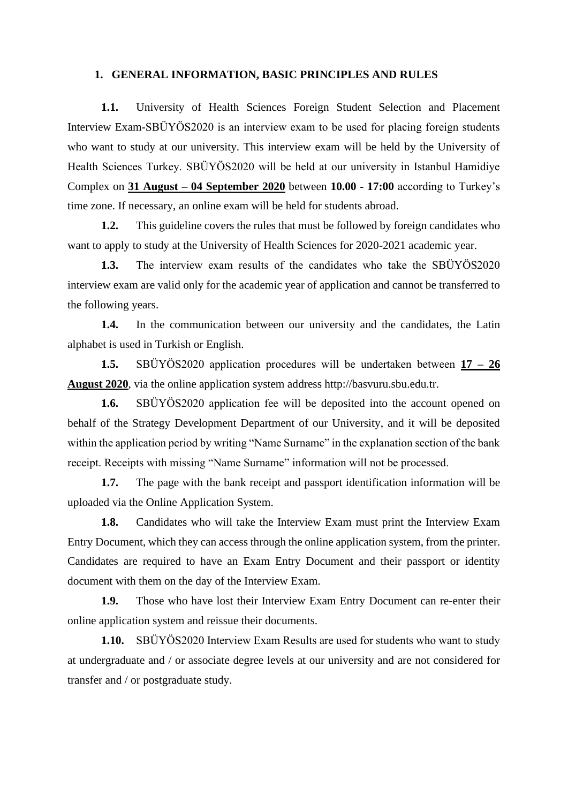#### **1. GENERAL INFORMATION, BASIC PRINCIPLES AND RULES**

**1.1.** University of Health Sciences Foreign Student Selection and Placement Interview Exam-SBÜYÖS2020 is an interview exam to be used for placing foreign students who want to study at our university. This interview exam will be held by the University of Health Sciences Turkey. SBÜYÖS2020 will be held at our university in Istanbul Hamidiye Complex on **31 August – 04 September 2020** between **10.00 - 17:00** according to Turkey's time zone. If necessary, an online exam will be held for students abroad.

**1.2.** This guideline covers the rules that must be followed by foreign candidates who want to apply to study at the University of Health Sciences for 2020-2021 academic year.

**1.3.** The interview exam results of the candidates who take the SBÜYÖS2020 interview exam are valid only for the academic year of application and cannot be transferred to the following years.

**1.4.** In the communication between our university and the candidates, the Latin alphabet is used in Turkish or English.

**1.5.** SBÜYÖS2020 application procedures will be undertaken between **17 – 26 August 2020**, via the online application system address http://basvuru.sbu.edu.tr.

**1.6.** SBÜYÖS2020 application fee will be deposited into the account opened on behalf of the Strategy Development Department of our University, and it will be deposited within the application period by writing "Name Surname" in the explanation section of the bank receipt. Receipts with missing "Name Surname" information will not be processed.

**1.7.** The page with the bank receipt and passport identification information will be uploaded via the Online Application System.

**1.8.** Candidates who will take the Interview Exam must print the Interview Exam Entry Document, which they can access through the online application system, from the printer. Candidates are required to have an Exam Entry Document and their passport or identity document with them on the day of the Interview Exam.

**1.9.** Those who have lost their Interview Exam Entry Document can re-enter their online application system and reissue their documents.

**1.10.** SBÜYÖS2020 Interview Exam Results are used for students who want to study at undergraduate and / or associate degree levels at our university and are not considered for transfer and / or postgraduate study.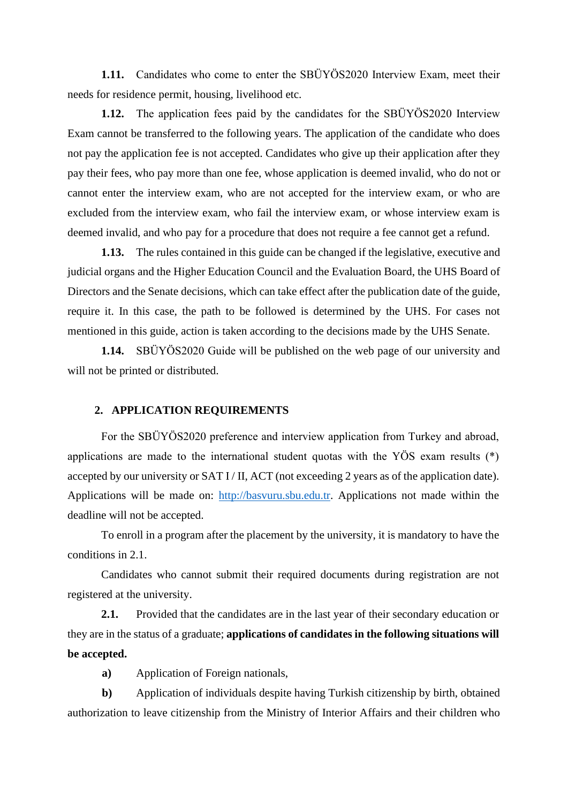**1.11.** Candidates who come to enter the SBÜYÖS2020 Interview Exam, meet their needs for residence permit, housing, livelihood etc.

**1.12.** The application fees paid by the candidates for the SBÜYÖS2020 Interview Exam cannot be transferred to the following years. The application of the candidate who does not pay the application fee is not accepted. Candidates who give up their application after they pay their fees, who pay more than one fee, whose application is deemed invalid, who do not or cannot enter the interview exam, who are not accepted for the interview exam, or who are excluded from the interview exam, who fail the interview exam, or whose interview exam is deemed invalid, and who pay for a procedure that does not require a fee cannot get a refund.

**1.13.** The rules contained in this guide can be changed if the legislative, executive and judicial organs and the Higher Education Council and the Evaluation Board, the UHS Board of Directors and the Senate decisions, which can take effect after the publication date of the guide, require it. In this case, the path to be followed is determined by the UHS. For cases not mentioned in this guide, action is taken according to the decisions made by the UHS Senate.

**1.14.** SBÜYÖS2020 Guide will be published on the web page of our university and will not be printed or distributed.

#### **2. APPLICATION REQUIREMENTS**

For the SBÜYÖS2020 preference and interview application from Turkey and abroad, applications are made to the international student quotas with the YÖS exam results (\*) accepted by our university or SAT I/II, ACT (not exceeding 2 years as of the application date). Applications will be made on: [http://basvuru.sbu.edu.tr.](http://basvuru.sbu.edu.tr/) Applications not made within the deadline will not be accepted.

To enroll in a program after the placement by the university, it is mandatory to have the conditions in 2.1.

Candidates who cannot submit their required documents during registration are not registered at the university.

**2.1.** Provided that the candidates are in the last year of their secondary education or they are in the status of a graduate; **applications of candidates in the following situations will be accepted.**

**a)** Application of Foreign nationals,

**b)** Application of individuals despite having Turkish citizenship by birth, obtained authorization to leave citizenship from the Ministry of Interior Affairs and their children who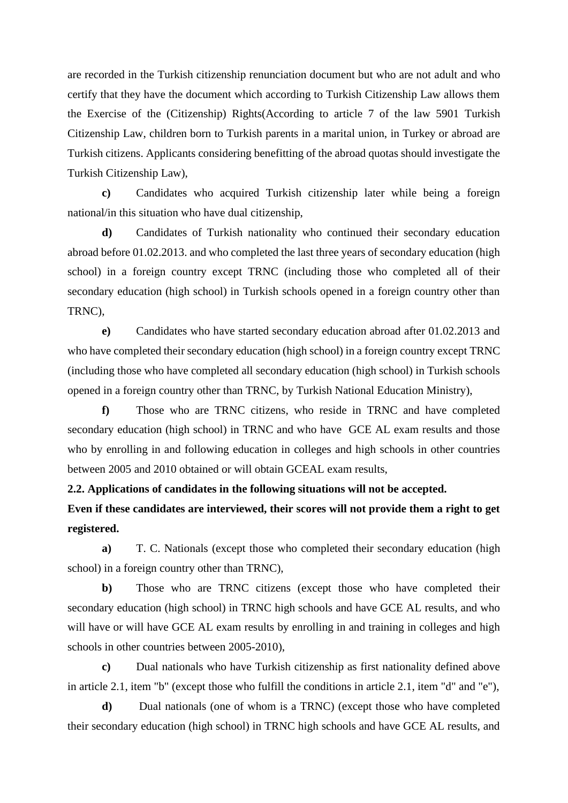are recorded in the Turkish citizenship renunciation document but who are not adult and who certify that they have the document which according to Turkish Citizenship Law allows them the Exercise of the (Citizenship) Rights(According to article 7 of the law 5901 Turkish Citizenship Law, children born to Turkish parents in a marital union, in Turkey or abroad are Turkish citizens. Applicants considering benefitting of the abroad quotas should investigate the Turkish Citizenship Law),

**c)** Candidates who acquired Turkish citizenship later while being a foreign national/in this situation who have dual citizenship,

**d)** Candidates of Turkish nationality who continued their secondary education abroad before 01.02.2013. and who completed the last three years of secondary education (high school) in a foreign country except TRNC (including those who completed all of their secondary education (high school) in Turkish schools opened in a foreign country other than TRNC),

**e)** Candidates who have started secondary education abroad after 01.02.2013 and who have completed their secondary education (high school) in a foreign country except TRNC (including those who have completed all secondary education (high school) in Turkish schools opened in a foreign country other than TRNC, by Turkish National Education Ministry),

**f)** Those who are TRNC citizens, who reside in TRNC and have completed secondary education (high school) in TRNC and who have GCE AL exam results and those who by enrolling in and following education in colleges and high schools in other countries between 2005 and 2010 obtained or will obtain GCEAL exam results,

**2.2. Applications of candidates in the following situations will not be accepted.**

**Even if these candidates are interviewed, their scores will not provide them a right to get registered.**

**a)** T. C. Nationals (except those who completed their secondary education (high school) in a foreign country other than TRNC),

**b)** Those who are TRNC citizens (except those who have completed their secondary education (high school) in TRNC high schools and have GCE AL results, and who will have or will have GCE AL exam results by enrolling in and training in colleges and high schools in other countries between 2005-2010),

**c)** Dual nationals who have Turkish citizenship as first nationality defined above in article 2.1, item "b" (except those who fulfill the conditions in article 2.1, item "d" and "e"),

**d)** Dual nationals (one of whom is a TRNC) (except those who have completed their secondary education (high school) in TRNC high schools and have GCE AL results, and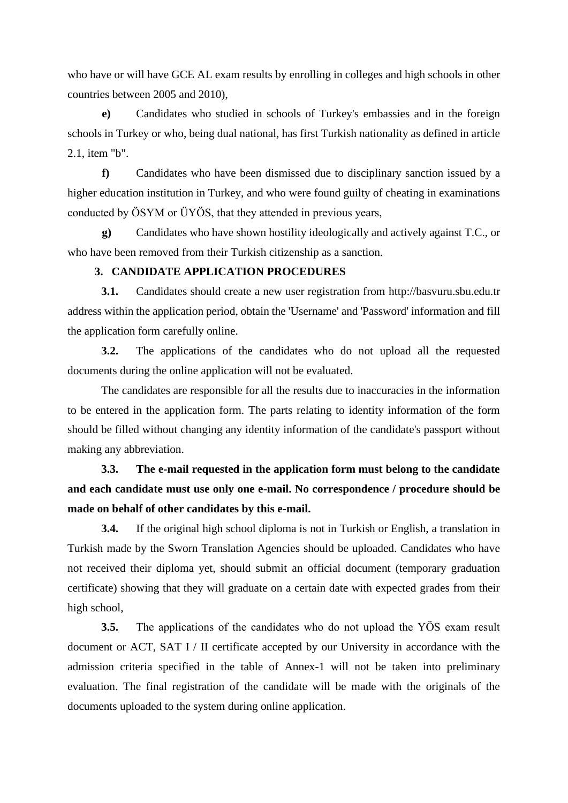who have or will have GCE AL exam results by enrolling in colleges and high schools in other countries between 2005 and 2010),

**e)** Candidates who studied in schools of Turkey's embassies and in the foreign schools in Turkey or who, being dual national, has first Turkish nationality as defined in article 2.1, item "b".

**f)** Candidates who have been dismissed due to disciplinary sanction issued by a higher education institution in Turkey, and who were found guilty of cheating in examinations conducted by ÖSYM or ÜYÖS, that they attended in previous years,

**g)** Candidates who have shown hostility ideologically and actively against T.C., or who have been removed from their Turkish citizenship as a sanction.

#### **3. CANDIDATE APPLICATION PROCEDURES**

**3.1.** Candidates should create a new user registration from http://basvuru.sbu.edu.tr address within the application period, obtain the 'Username' and 'Password' information and fill the application form carefully online.

**3.2.** The applications of the candidates who do not upload all the requested documents during the online application will not be evaluated.

The candidates are responsible for all the results due to inaccuracies in the information to be entered in the application form. The parts relating to identity information of the form should be filled without changing any identity information of the candidate's passport without making any abbreviation.

## **3.3. The e-mail requested in the application form must belong to the candidate and each candidate must use only one e-mail. No correspondence / procedure should be made on behalf of other candidates by this e-mail.**

**3.4.** If the original high school diploma is not in Turkish or English, a translation in Turkish made by the Sworn Translation Agencies should be uploaded. Candidates who have not received their diploma yet, should submit an official document (temporary graduation certificate) showing that they will graduate on a certain date with expected grades from their high school,

**3.5.** The applications of the candidates who do not upload the YÖS exam result document or ACT, SAT I / II certificate accepted by our University in accordance with the admission criteria specified in the table of Annex-1 will not be taken into preliminary evaluation. The final registration of the candidate will be made with the originals of the documents uploaded to the system during online application.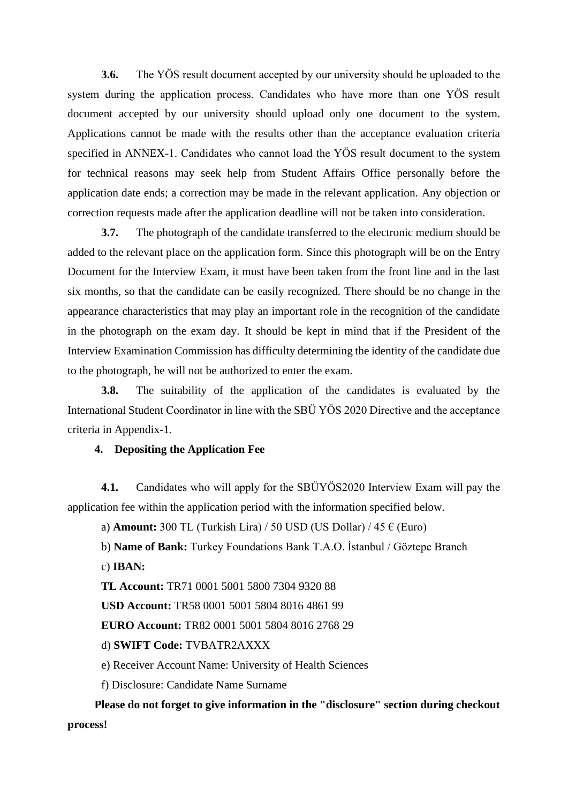**3.6.** The YÖS result document accepted by our university should be uploaded to the system during the application process. Candidates who have more than one YÖS result document accepted by our university should upload only one document to the system. Applications cannot be made with the results other than the acceptance evaluation criteria specified in ANNEX-1. Candidates who cannot load the YÖS result document to the system for technical reasons may seek help from Student Affairs Office personally before the application date ends; a correction may be made in the relevant application. Any objection or correction requests made after the application deadline will not be taken into consideration.

**3.7.** The photograph of the candidate transferred to the electronic medium should be added to the relevant place on the application form. Since this photograph will be on the Entry Document for the Interview Exam, it must have been taken from the front line and in the last six months, so that the candidate can be easily recognized. There should be no change in the appearance characteristics that may play an important role in the recognition of the candidate in the photograph on the exam day. It should be kept in mind that if the President of the Interview Examination Commission has difficulty determining the identity of the candidate due to the photograph, he will not be authorized to enter the exam.

**3.8.** The suitability of the application of the candidates is evaluated by the International Student Coordinator in line with the SBÜ YÖS 2020 Directive and the acceptance criteria in Appendix-1.

#### **4. Depositing the Application Fee**

**4.1.** Candidates who will apply for the SBÜYÖS2020 Interview Exam will pay the application fee within the application period with the information specified below.

a) **Amount:** 300 TL (Turkish Lira) / 50 USD (US Dollar) /  $45 \in$  (Euro)

b) **Name of Bank:** Turkey Foundations Bank T.A.O. İstanbul / Göztepe Branch

c) **IBAN:**

**TL Account:** TR71 0001 5001 5800 7304 9320 88

**USD Account:** TR58 0001 5001 5804 8016 4861 99

**EURO Account:** TR82 0001 5001 5804 8016 2768 29

d) **SWIFT Code:** TVBATR2AXXX

e) Receiver Account Name: University of Health Sciences

f) Disclosure: Candidate Name Surname

**Please do not forget to give information in the "disclosure" section during checkout process!**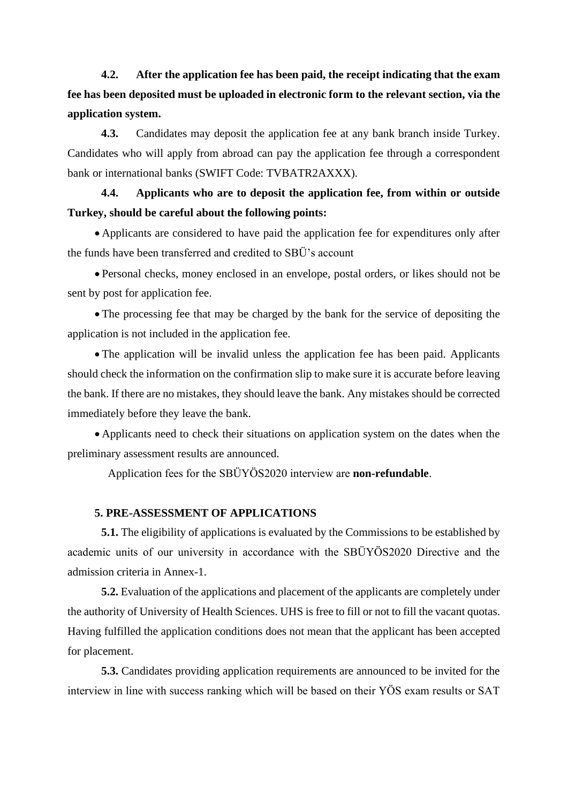**4.2. After the application fee has been paid, the receipt indicating that the exam fee has been deposited must be uploaded in electronic form to the relevant section, via the application system.**

**4.3.** Candidates may deposit the application fee at any bank branch inside Turkey. Candidates who will apply from abroad can pay the application fee through a correspondent bank or international banks (SWIFT Code: TVBATR2AXXX).

**4.4. Applicants who are to deposit the application fee, from within or outside Turkey, should be careful about the following points:**

• Applicants are considered to have paid the application fee for expenditures only after the funds have been transferred and credited to SBÜ's account

• Personal checks, money enclosed in an envelope, postal orders, or likes should not be sent by post for application fee.

• The processing fee that may be charged by the bank for the service of depositing the application is not included in the application fee.

• The application will be invalid unless the application fee has been paid. Applicants should check the information on the confirmation slip to make sure it is accurate before leaving the bank. If there are no mistakes, they should leave the bank. Any mistakes should be corrected immediately before they leave the bank.

• Applicants need to check their situations on application system on the dates when the preliminary assessment results are announced.

Application fees for the SBÜYÖS2020 interview are **non-refundable**.

#### **5. PRE-ASSESSMENT OF APPLICATIONS**

**5.1.** The eligibility of applications is evaluated by the Commissions to be established by academic units of our university in accordance with the SBÜYÖS2020 Directive and the admission criteria in Annex-1.

**5.2.** Evaluation of the applications and placement of the applicants are completely under the authority of University of Health Sciences. UHS is free to fill or not to fill the vacant quotas. Having fulfilled the application conditions does not mean that the applicant has been accepted for placement.

**5.3.** Candidates providing application requirements are announced to be invited for the interview in line with success ranking which will be based on their YÖS exam results or SAT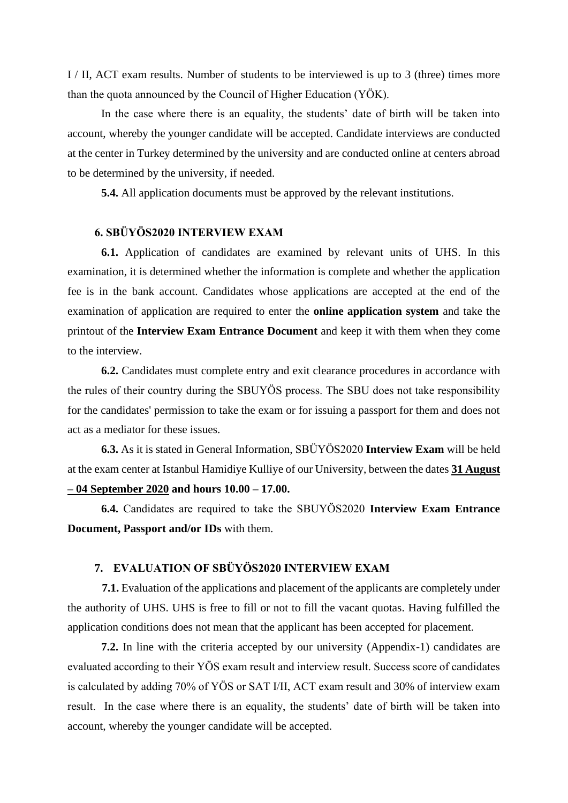I / II, ACT exam results. Number of students to be interviewed is up to 3 (three) times more than the quota announced by the Council of Higher Education (YÖK).

In the case where there is an equality, the students' date of birth will be taken into account, whereby the younger candidate will be accepted. Candidate interviews are conducted at the center in Turkey determined by the university and are conducted online at centers abroad to be determined by the university, if needed.

**5.4.** All application documents must be approved by the relevant institutions.

#### **6. SBÜYÖS2020 INTERVIEW EXAM**

**6.1.** Application of candidates are examined by relevant units of UHS. In this examination, it is determined whether the information is complete and whether the application fee is in the bank account. Candidates whose applications are accepted at the end of the examination of application are required to enter the **online application system** and take the printout of the **Interview Exam Entrance Document** and keep it with them when they come to the interview.

**6.2.** Candidates must complete entry and exit clearance procedures in accordance with the rules of their country during the SBUYÖS process. The SBU does not take responsibility for the candidates' permission to take the exam or for issuing a passport for them and does not act as a mediator for these issues.

**6.3.** As it is stated in General Information, SBÜYÖS2020 **Interview Exam** will be held at the exam center at Istanbul Hamidiye Kulliye of our University, between the dates **31 August – 04 September 2020 and hours 10.00 – 17.00.** 

**6.4.** Candidates are required to take the SBUYÖS2020 **Interview Exam Entrance Document, Passport and/or IDs** with them.

#### **7. EVALUATION OF SBÜYÖS2020 INTERVIEW EXAM**

**7.1.** Evaluation of the applications and placement of the applicants are completely under the authority of UHS. UHS is free to fill or not to fill the vacant quotas. Having fulfilled the application conditions does not mean that the applicant has been accepted for placement.

**7.2.** In line with the criteria accepted by our university (Appendix-1) candidates are evaluated according to their YÖS exam result and interview result. Success score of candidates is calculated by adding 70% of YÖS or SAT I/II, ACT exam result and 30% of interview exam result. In the case where there is an equality, the students' date of birth will be taken into account, whereby the younger candidate will be accepted.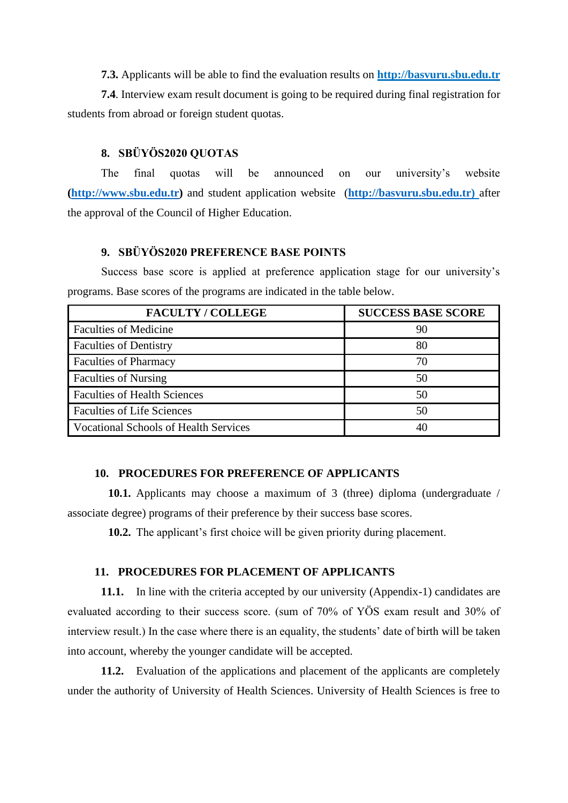**7.3.** Applicants will be able to find the evaluation results on **http://basvuru.sbu.edu.tr**

**7.4**. Interview exam result document is going to be required during final registration for students from abroad or foreign student quotas.

#### **8. SBÜYÖS2020 QUOTAS**

The final quotas will be announced on our university's website **[\(http://www.sbu.edu.tr\)](http://www.sbu.edu.tr/)** and student application website(**[http://basvuru.sbu.edu.tr\)](http://basvuru.sbu.edu.tr/yos2020/)** after the approval of the Council of Higher Education.

#### **9. SBÜYÖS2020 PREFERENCE BASE POINTS**

Success base score is applied at preference application stage for our university's programs. Base scores of the programs are indicated in the table below.

| <b>FACULTY / COLLEGE</b>                     | <b>SUCCESS BASE SCORE</b> |
|----------------------------------------------|---------------------------|
| <b>Faculties of Medicine</b>                 | 90                        |
| <b>Faculties of Dentistry</b>                | 80                        |
| <b>Faculties of Pharmacy</b>                 | 70                        |
| <b>Faculties of Nursing</b>                  | 50                        |
| <b>Faculties of Health Sciences</b>          | 50                        |
| <b>Faculties of Life Sciences</b>            | 50                        |
| <b>Vocational Schools of Health Services</b> |                           |

#### **10. PROCEDURES FOR PREFERENCE OF APPLICANTS**

**10.1.** Applicants may choose a maximum of 3 (three) diploma (undergraduate / associate degree) programs of their preference by their success base scores.

**10.2.** The applicant's first choice will be given priority during placement.

#### **11. PROCEDURES FOR PLACEMENT OF APPLICANTS**

**11.1.** In line with the criteria accepted by our university (Appendix-1) candidates are evaluated according to their success score. (sum of 70% of YÖS exam result and 30% of interview result.) In the case where there is an equality, the students' date of birth will be taken into account, whereby the younger candidate will be accepted.

**11.2.** Evaluation of the applications and placement of the applicants are completely under the authority of University of Health Sciences. University of Health Sciences is free to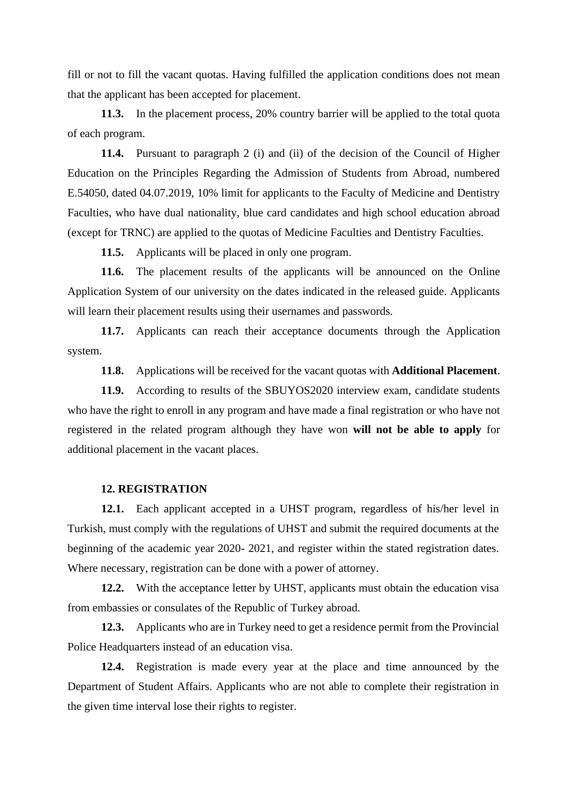fill or not to fill the vacant quotas. Having fulfilled the application conditions does not mean that the applicant has been accepted for placement.

**11.3.** In the placement process, 20% country barrier will be applied to the total quota of each program.

**11.4.** Pursuant to paragraph 2 (i) and (ii) of the decision of the Council of Higher Education on the Principles Regarding the Admission of Students from Abroad, numbered E.54050, dated 04.07.2019, 10% limit for applicants to the Faculty of Medicine and Dentistry Faculties, who have dual nationality, blue card candidates and high school education abroad (except for TRNC) are applied to the quotas of Medicine Faculties and Dentistry Faculties.

**11.5.** Applicants will be placed in only one program.

**11.6.** The placement results of the applicants will be announced on the Online Application System of our university on the dates indicated in the released guide. Applicants will learn their placement results using their usernames and passwords.

**11.7.** Applicants can reach their acceptance documents through the Application system.

**11.8.** Applications will be received for the vacant quotas with **Additional Placement**.

**11.9.** According to results of the SBUYOS2020 interview exam, candidate students who have the right to enroll in any program and have made a final registration or who have not registered in the related program although they have won **will not be able to apply** for additional placement in the vacant places.

#### **12. REGISTRATION**

**12.1.** Each applicant accepted in a UHST program, regardless of his/her level in Turkish, must comply with the regulations of UHST and submit the required documents at the beginning of the academic year 2020- 2021, and register within the stated registration dates. Where necessary, registration can be done with a power of attorney.

**12.2.** With the acceptance letter by UHST, applicants must obtain the education visa from embassies or consulates of the Republic of Turkey abroad.

**12.3.** Applicants who are in Turkey need to get a residence permit from the Provincial Police Headquarters instead of an education visa.

**12.4.** Registration is made every year at the place and time announced by the Department of Student Affairs. Applicants who are not able to complete their registration in the given time interval lose their rights to register.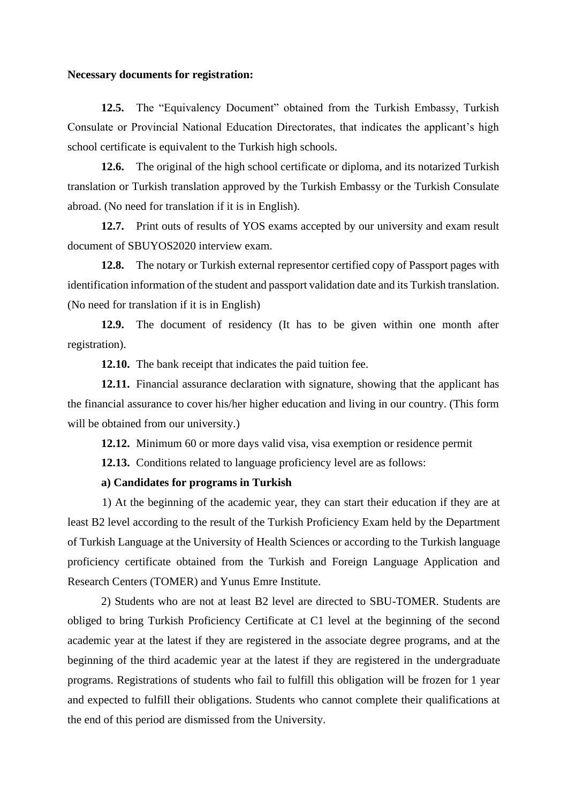#### **Necessary documents for registration:**

**12.5.** The "Equivalency Document" obtained from the Turkish Embassy, Turkish Consulate or Provincial National Education Directorates, that indicates the applicant's high school certificate is equivalent to the Turkish high schools.

**12.6.** The original of the high school certificate or diploma, and its notarized Turkish translation or Turkish translation approved by the Turkish Embassy or the Turkish Consulate abroad. (No need for translation if it is in English).

**12.7.** Print outs of results of YOS exams accepted by our university and exam result document of SBUYOS2020 interview exam.

**12.8.** The notary or Turkish external representor certified copy of Passport pages with identification information of the student and passport validation date and its Turkish translation. (No need for translation if it is in English)

**12.9.** The document of residency (It has to be given within one month after registration).

**12.10.** The bank receipt that indicates the paid tuition fee.

**12.11.** Financial assurance declaration with signature, showing that the applicant has the financial assurance to cover his/her higher education and living in our country. (This form will be obtained from our university.)

**12.12.** Minimum 60 or more days valid visa, visa exemption or residence permit

**12.13.** Conditions related to language proficiency level are as follows:

#### **a) Candidates for programs in Turkish**

1) At the beginning of the academic year, they can start their education if they are at least B2 level according to the result of the Turkish Proficiency Exam held by the Department of Turkish Language at the University of Health Sciences or according to the Turkish language proficiency certificate obtained from the Turkish and Foreign Language Application and Research Centers (TOMER) and Yunus Emre Institute.

2) Students who are not at least B2 level are directed to SBU-TOMER. Students are obliged to bring Turkish Proficiency Certificate at C1 level at the beginning of the second academic year at the latest if they are registered in the associate degree programs, and at the beginning of the third academic year at the latest if they are registered in the undergraduate programs. Registrations of students who fail to fulfill this obligation will be frozen for 1 year and expected to fulfill their obligations. Students who cannot complete their qualifications at the end of this period are dismissed from the University.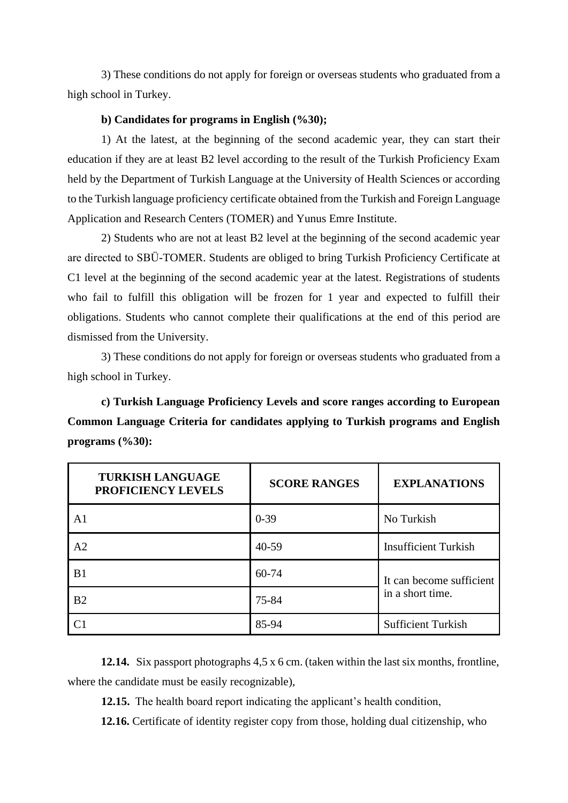3) These conditions do not apply for foreign or overseas students who graduated from a high school in Turkey.

#### **b) Candidates for programs in English (%30);**

1) At the latest, at the beginning of the second academic year, they can start their education if they are at least B2 level according to the result of the Turkish Proficiency Exam held by the Department of Turkish Language at the University of Health Sciences or according to the Turkish language proficiency certificate obtained from the Turkish and Foreign Language Application and Research Centers (TOMER) and Yunus Emre Institute.

2) Students who are not at least B2 level at the beginning of the second academic year are directed to SBÜ-TOMER. Students are obliged to bring Turkish Proficiency Certificate at C1 level at the beginning of the second academic year at the latest. Registrations of students who fail to fulfill this obligation will be frozen for 1 year and expected to fulfill their obligations. Students who cannot complete their qualifications at the end of this period are dismissed from the University.

3) These conditions do not apply for foreign or overseas students who graduated from a high school in Turkey.

**c) Turkish Language Proficiency Levels and score ranges according to European Common Language Criteria for candidates applying to Turkish programs and English programs (%30):**

| <b>TURKISH LANGUAGE</b><br>PROFICIENCY LEVELS | <b>SCORE RANGES</b> | <b>EXPLANATIONS</b>         |
|-----------------------------------------------|---------------------|-----------------------------|
| A1                                            | $0 - 39$            | No Turkish                  |
| A <sub>2</sub>                                | $40 - 59$           | <b>Insufficient Turkish</b> |
| B <sub>1</sub>                                | 60-74               | It can become sufficient    |
| B <sub>2</sub>                                | 75-84               | in a short time.            |
|                                               | 85-94               | <b>Sufficient Turkish</b>   |

**12.14.** Six passport photographs 4,5 x 6 cm. (taken within the last six months, frontline, where the candidate must be easily recognizable),

**12.15.** The health board report indicating the applicant's health condition,

**12.16.** Certificate of identity register copy from those, holding dual citizenship, who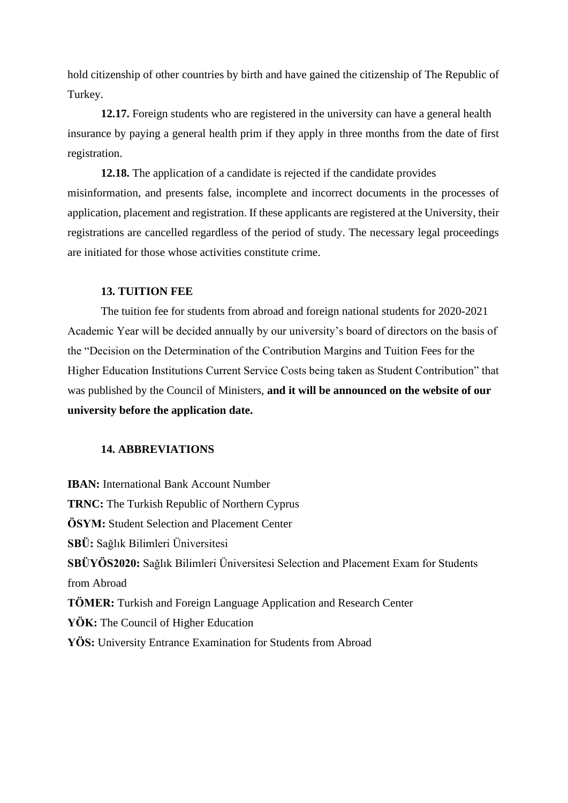hold citizenship of other countries by birth and have gained the citizenship of The Republic of Turkey.

**12.17.** Foreign students who are registered in the university can have a general health insurance by paying a general health prim if they apply in three months from the date of first registration.

**12.18.** The application of a candidate is rejected if the candidate provides misinformation, and presents false, incomplete and incorrect documents in the processes of application, placement and registration. If these applicants are registered at the University, their registrations are cancelled regardless of the period of study. The necessary legal proceedings are initiated for those whose activities constitute crime.

#### **13. TUITION FEE**

The tuition fee for students from abroad and foreign national students for 2020-2021 Academic Year will be decided annually by our university's board of directors on the basis of the "Decision on the Determination of the Contribution Margins and Tuition Fees for the Higher Education Institutions Current Service Costs being taken as Student Contribution" that was published by the Council of Ministers, **and it will be announced on the website of our university before the application date.**

#### **14. ABBREVIATIONS**

**IBAN:** International Bank Account Number **TRNC:** The Turkish Republic of Northern Cyprus **ÖSYM:** Student Selection and Placement Center **SBÜ:** Sağlık Bilimleri Üniversitesi **SBÜYÖS2020:** Sağlık Bilimleri Üniversitesi Selection and Placement Exam for Students from Abroad **TÖMER:** Turkish and Foreign Language Application and Research Center **YÖK:** The Council of Higher Education **YÖS:** University Entrance Examination for Students from Abroad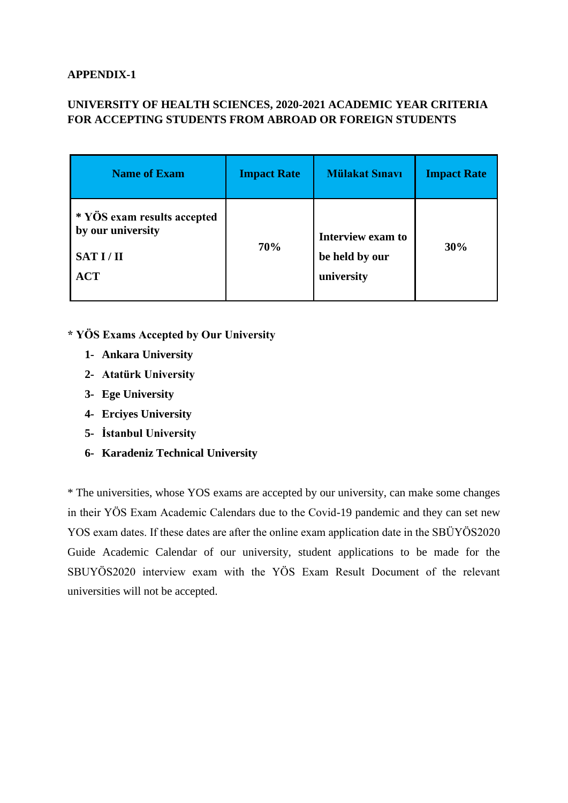#### **APPENDIX-1**

#### **UNIVERSITY OF HEALTH SCIENCES, 2020-2021 ACADEMIC YEAR CRITERIA FOR ACCEPTING STUDENTS FROM ABROAD OR FOREIGN STUDENTS**

| <b>Name of Exam</b>                                                        | <b>Impact Rate</b> | <b>Mülakat Sınavı</b>                             | <b>Impact Rate</b> |
|----------------------------------------------------------------------------|--------------------|---------------------------------------------------|--------------------|
| * YÖS exam results accepted<br>by our university<br>SAT I/II<br><b>ACT</b> | 70%                | Interview exam to<br>be held by our<br>university | 30%                |

#### **\* YÖS Exams Accepted by Our University**

- **1- Ankara University**
- **2- Atatürk University**
- **3- Ege University**
- **4- Erciyes University**
- **5- İstanbul University**
- **6- Karadeniz Technical University**

\* The universities, whose YOS exams are accepted by our university, can make some changes in their YÖS Exam Academic Calendars due to the Covid-19 pandemic and they can set new YOS exam dates. If these dates are after the online exam application date in the SBÜYÖS2020 Guide Academic Calendar of our university, student applications to be made for the SBUYÖS2020 interview exam with the YÖS Exam Result Document of the relevant universities will not be accepted.